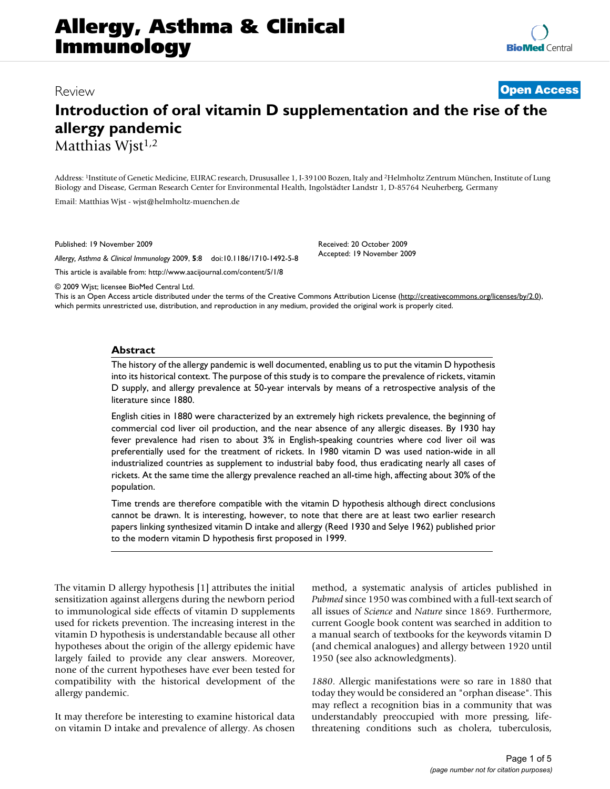# **Introduction of oral vitamin D supplementation and the rise of the allergy pandemic** Matthias Wjst<sup>1,2</sup>

Address: 1Institute of Genetic Medicine, EURAC research, Drususallee 1, I-39100 Bozen, Italy and 2Helmholtz Zentrum München, Institute of Lung Biology and Disease, German Research Center for Environmental Health, Ingolstädter Landstr 1, D-85764 Neuherberg, Germany

> Received: 20 October 2009 Accepted: 19 November 2009

Email: Matthias Wjst - wjst@helmholtz-muenchen.de

Published: 19 November 2009

*Allergy, Asthma & Clinical Immunology* 2009, **5**:8 doi:10.1186/1710-1492-5-8

[This article is available from: http://www.aacijournal.com/content/5/1/8](http://www.aacijournal.com/content/5/1/8)

© 2009 Wjst; licensee BioMed Central Ltd.

This is an Open Access article distributed under the terms of the Creative Commons Attribution License [\(http://creativecommons.org/licenses/by/2.0\)](http://creativecommons.org/licenses/by/2.0), which permits unrestricted use, distribution, and reproduction in any medium, provided the original work is properly cited.

# **Abstract**

The history of the allergy pandemic is well documented, enabling us to put the vitamin D hypothesis into its historical context. The purpose of this study is to compare the prevalence of rickets, vitamin D supply, and allergy prevalence at 50-year intervals by means of a retrospective analysis of the literature since 1880.

English cities in 1880 were characterized by an extremely high rickets prevalence, the beginning of commercial cod liver oil production, and the near absence of any allergic diseases. By 1930 hay fever prevalence had risen to about 3% in English-speaking countries where cod liver oil was preferentially used for the treatment of rickets. In 1980 vitamin D was used nation-wide in all industrialized countries as supplement to industrial baby food, thus eradicating nearly all cases of rickets. At the same time the allergy prevalence reached an all-time high, affecting about 30% of the population.

Time trends are therefore compatible with the vitamin D hypothesis although direct conclusions cannot be drawn. It is interesting, however, to note that there are at least two earlier research papers linking synthesized vitamin D intake and allergy (Reed 1930 and Selye 1962) published prior to the modern vitamin D hypothesis first proposed in 1999.

The vitamin D allergy hypothesis [1] attributes the initial sensitization against allergens during the newborn period to immunological side effects of vitamin D supplements used for rickets prevention. The increasing interest in the vitamin D hypothesis is understandable because all other hypotheses about the origin of the allergy epidemic have largely failed to provide any clear answers. Moreover, none of the current hypotheses have ever been tested for compatibility with the historical development of the allergy pandemic.

It may therefore be interesting to examine historical data on vitamin D intake and prevalence of allergy. As chosen method, a systematic analysis of articles published in *Pubmed* since 1950 was combined with a full-text search of all issues of *Science* and *Nature* since 1869. Furthermore, current Google book content was searched in addition to a manual search of textbooks for the keywords vitamin D (and chemical analogues) and allergy between 1920 until 1950 (see also acknowledgments).

*1880*. Allergic manifestations were so rare in 1880 that today they would be considered an "orphan disease". This may reflect a recognition bias in a community that was understandably preoccupied with more pressing, lifethreatening conditions such as cholera, tuberculosis,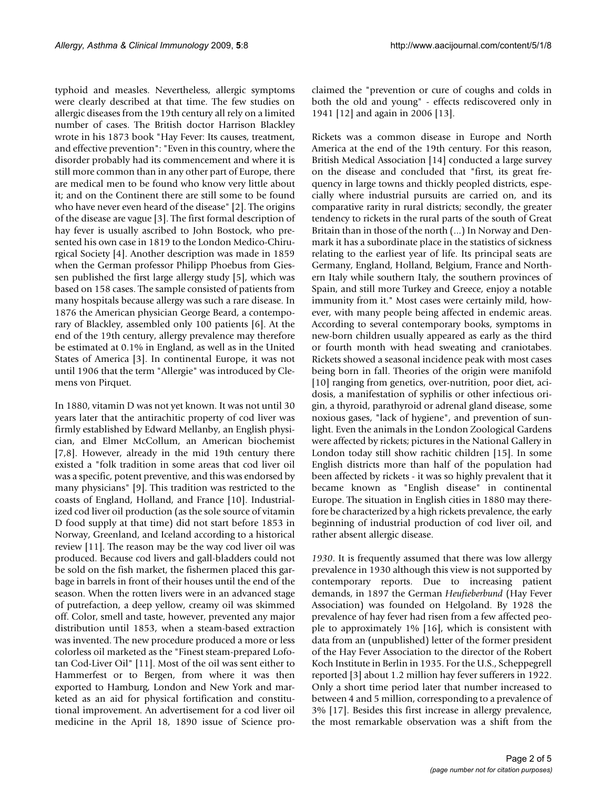typhoid and measles. Nevertheless, allergic symptoms were clearly described at that time. The few studies on allergic diseases from the 19th century all rely on a limited number of cases. The British doctor Harrison Blackley wrote in his 1873 book "Hay Fever: Its causes, treatment, and effective prevention": "Even in this country, where the disorder probably had its commencement and where it is still more common than in any other part of Europe, there are medical men to be found who know very little about it; and on the Continent there are still some to be found who have never even heard of the disease" [2]. The origins of the disease are vague [3]. The first formal description of hay fever is usually ascribed to John Bostock, who presented his own case in 1819 to the London Medico-Chirurgical Society [4]. Another description was made in 1859 when the German professor Philipp Phoebus from Giessen published the first large allergy study [5], which was based on 158 cases. The sample consisted of patients from many hospitals because allergy was such a rare disease. In 1876 the American physician George Beard, a contemporary of Blackley, assembled only 100 patients [6]. At the end of the 19th century, allergy prevalence may therefore be estimated at 0.1% in England, as well as in the United States of America [3]. In continental Europe, it was not until 1906 that the term "Allergie" was introduced by Clemens von Pirquet.

In 1880, vitamin D was not yet known. It was not until 30 years later that the antirachitic property of cod liver was firmly established by Edward Mellanby, an English physician, and Elmer McCollum, an American biochemist [7,8]. However, already in the mid 19th century there existed a "folk tradition in some areas that cod liver oil was a specific, potent preventive, and this was endorsed by many physicians" [9]. This tradition was restricted to the coasts of England, Holland, and France [10]. Industrialized cod liver oil production (as the sole source of vitamin D food supply at that time) did not start before 1853 in Norway, Greenland, and Iceland according to a historical review [11]. The reason may be the way cod liver oil was produced. Because cod livers and gall-bladders could not be sold on the fish market, the fishermen placed this garbage in barrels in front of their houses until the end of the season. When the rotten livers were in an advanced stage of putrefaction, a deep yellow, creamy oil was skimmed off. Color, smell and taste, however, prevented any major distribution until 1853, when a steam-based extraction was invented. The new procedure produced a more or less colorless oil marketed as the "Finest steam-prepared Lofotan Cod-Liver Oil" [11]. Most of the oil was sent either to Hammerfest or to Bergen, from where it was then exported to Hamburg, London and New York and marketed as an aid for physical fortification and constitutional improvement. An advertisement for a cod liver oil medicine in the April 18, 1890 issue of Science proclaimed the "prevention or cure of coughs and colds in both the old and young" - effects rediscovered only in 1941 [12] and again in 2006 [13].

Rickets was a common disease in Europe and North America at the end of the 19th century. For this reason, British Medical Association [14] conducted a large survey on the disease and concluded that "first, its great frequency in large towns and thickly peopled districts, especially where industrial pursuits are carried on, and its comparative rarity in rural districts; secondly, the greater tendency to rickets in the rural parts of the south of Great Britain than in those of the north (...) In Norway and Denmark it has a subordinate place in the statistics of sickness relating to the earliest year of life. Its principal seats are Germany, England, Holland, Belgium, France and Northern Italy while southern Italy, the southern provinces of Spain, and still more Turkey and Greece, enjoy a notable immunity from it." Most cases were certainly mild, however, with many people being affected in endemic areas. According to several contemporary books, symptoms in new-born children usually appeared as early as the third or fourth month with head sweating and craniotabes. Rickets showed a seasonal incidence peak with most cases being born in fall. Theories of the origin were manifold [10] ranging from genetics, over-nutrition, poor diet, acidosis, a manifestation of syphilis or other infectious origin, a thyroid, parathyroid or adrenal gland disease, some noxious gases, "lack of hygiene", and prevention of sunlight. Even the animals in the London Zoological Gardens were affected by rickets; pictures in the National Gallery in London today still show rachitic children [15]. In some English districts more than half of the population had been affected by rickets - it was so highly prevalent that it became known as "English disease" in continental Europe. The situation in English cities in 1880 may therefore be characterized by a high rickets prevalence, the early beginning of industrial production of cod liver oil, and rather absent allergic disease.

*1930*. It is frequently assumed that there was low allergy prevalence in 1930 although this view is not supported by contemporary reports. Due to increasing patient demands, in 1897 the German *Heufieberbund* (Hay Fever Association) was founded on Helgoland. By 1928 the prevalence of hay fever had risen from a few affected people to approximately 1% [16], which is consistent with data from an (unpublished) letter of the former president of the Hay Fever Association to the director of the Robert Koch Institute in Berlin in 1935. For the U.S., Scheppegrell reported [3] about 1.2 million hay fever sufferers in 1922. Only a short time period later that number increased to between 4 and 5 million, corresponding to a prevalence of 3% [17]. Besides this first increase in allergy prevalence, the most remarkable observation was a shift from the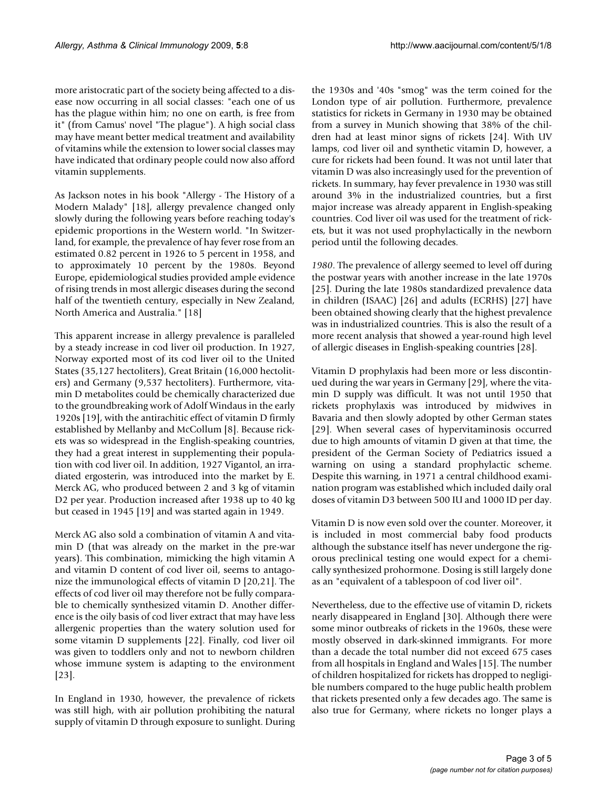more aristocratic part of the society being affected to a disease now occurring in all social classes: "each one of us has the plague within him; no one on earth, is free from it" (from Camus' novel "The plague"). A high social class may have meant better medical treatment and availability of vitamins while the extension to lower social classes may have indicated that ordinary people could now also afford vitamin supplements.

As Jackson notes in his book "Allergy - The History of a Modern Malady" [18], allergy prevalence changed only slowly during the following years before reaching today's epidemic proportions in the Western world. "In Switzerland, for example, the prevalence of hay fever rose from an estimated 0.82 percent in 1926 to 5 percent in 1958, and to approximately 10 percent by the 1980s. Beyond Europe, epidemiological studies provided ample evidence of rising trends in most allergic diseases during the second half of the twentieth century, especially in New Zealand, North America and Australia." [18]

This apparent increase in allergy prevalence is paralleled by a steady increase in cod liver oil production. In 1927, Norway exported most of its cod liver oil to the United States (35,127 hectoliters), Great Britain (16,000 hectoliters) and Germany (9,537 hectoliters). Furthermore, vitamin D metabolites could be chemically characterized due to the groundbreaking work of Adolf Windaus in the early 1920s [19], with the antirachitic effect of vitamin D firmly established by Mellanby and McCollum [8]. Because rickets was so widespread in the English-speaking countries, they had a great interest in supplementing their population with cod liver oil. In addition, 1927 Vigantol, an irradiated ergosterin, was introduced into the market by E. Merck AG, who produced between 2 and 3 kg of vitamin D2 per year. Production increased after 1938 up to 40 kg but ceased in 1945 [19] and was started again in 1949.

Merck AG also sold a combination of vitamin A and vitamin D (that was already on the market in the pre-war years). This combination, mimicking the high vitamin A and vitamin D content of cod liver oil, seems to antagonize the immunological effects of vitamin D [20,21]. The effects of cod liver oil may therefore not be fully comparable to chemically synthesized vitamin D. Another difference is the oily basis of cod liver extract that may have less allergenic properties than the watery solution used for some vitamin D supplements [22]. Finally, cod liver oil was given to toddlers only and not to newborn children whose immune system is adapting to the environment [23].

In England in 1930, however, the prevalence of rickets was still high, with air pollution prohibiting the natural supply of vitamin D through exposure to sunlight. During the 1930s and '40s "smog" was the term coined for the London type of air pollution. Furthermore, prevalence statistics for rickets in Germany in 1930 may be obtained from a survey in Munich showing that 38% of the children had at least minor signs of rickets [24]. With UV lamps, cod liver oil and synthetic vitamin D, however, a cure for rickets had been found. It was not until later that vitamin D was also increasingly used for the prevention of rickets. In summary, hay fever prevalence in 1930 was still around 3% in the industrialized countries, but a first major increase was already apparent in English-speaking countries. Cod liver oil was used for the treatment of rickets, but it was not used prophylactically in the newborn period until the following decades.

*1980*. The prevalence of allergy seemed to level off during the postwar years with another increase in the late 1970s [25]. During the late 1980s standardized prevalence data in children (ISAAC) [26] and adults (ECRHS) [27] have been obtained showing clearly that the highest prevalence was in industrialized countries. This is also the result of a more recent analysis that showed a year-round high level of allergic diseases in English-speaking countries [28].

Vitamin D prophylaxis had been more or less discontinued during the war years in Germany [29], where the vitamin D supply was difficult. It was not until 1950 that rickets prophylaxis was introduced by midwives in Bavaria and then slowly adopted by other German states [29]. When several cases of hypervitaminosis occurred due to high amounts of vitamin D given at that time, the president of the German Society of Pediatrics issued a warning on using a standard prophylactic scheme. Despite this warning, in 1971 a central childhood examination program was established which included daily oral doses of vitamin D3 between 500 IU and 1000 ID per day.

Vitamin D is now even sold over the counter. Moreover, it is included in most commercial baby food products although the substance itself has never undergone the rigorous preclinical testing one would expect for a chemically synthesized prohormone. Dosing is still largely done as an "equivalent of a tablespoon of cod liver oil".

Nevertheless, due to the effective use of vitamin D, rickets nearly disappeared in England [30]. Although there were some minor outbreaks of rickets in the 1960s, these were mostly observed in dark-skinned immigrants. For more than a decade the total number did not exceed 675 cases from all hospitals in England and Wales [15]. The number of children hospitalized for rickets has dropped to negligible numbers compared to the huge public health problem that rickets presented only a few decades ago. The same is also true for Germany, where rickets no longer plays a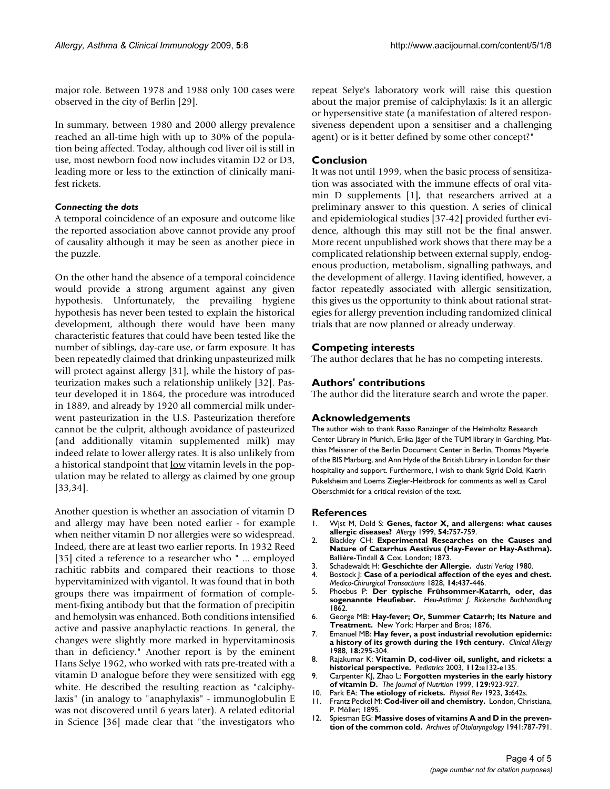major role. Between 1978 and 1988 only 100 cases were observed in the city of Berlin [29].

In summary, between 1980 and 2000 allergy prevalence reached an all-time high with up to 30% of the population being affected. Today, although cod liver oil is still in use, most newborn food now includes vitamin D2 or D3, leading more or less to the extinction of clinically manifest rickets.

## *Connecting the dots*

A temporal coincidence of an exposure and outcome like the reported association above cannot provide any proof of causality although it may be seen as another piece in the puzzle.

On the other hand the absence of a temporal coincidence would provide a strong argument against any given hypothesis. Unfortunately, the prevailing hygiene hypothesis has never been tested to explain the historical development, although there would have been many characteristic features that could have been tested like the number of siblings, day-care use, or farm exposure. It has been repeatedly claimed that drinking unpasteurized milk will protect against allergy [31], while the history of pasteurization makes such a relationship unlikely [32]. Pasteur developed it in 1864, the procedure was introduced in 1889, and already by 1920 all commercial milk underwent pasteurization in the U.S. Pasteurization therefore cannot be the culprit, although avoidance of pasteurized (and additionally vitamin supplemented milk) may indeed relate to lower allergy rates. It is also unlikely from a historical standpoint that low vitamin levels in the population may be related to allergy as claimed by one group [33,34].

Another question is whether an association of vitamin D and allergy may have been noted earlier - for example when neither vitamin D nor allergies were so widespread. Indeed, there are at least two earlier reports. In 1932 Reed [35] cited a reference to a researcher who " ... employed rachitic rabbits and compared their reactions to those hypervitaminized with vigantol. It was found that in both groups there was impairment of formation of complement-fixing antibody but that the formation of precipitin and hemolysin was enhanced. Both conditions intensified active and passive anaphylactic reactions. In general, the changes were slightly more marked in hypervitaminosis than in deficiency." Another report is by the eminent Hans Selye 1962, who worked with rats pre-treated with a vitamin D analogue before they were sensitized with egg white. He described the resulting reaction as "calciphylaxis" (in analogy to "anaphylaxis" - immunoglobulin E was not discovered until 6 years later). A related editorial in Science [36] made clear that "the investigators who repeat Selye's laboratory work will raise this question about the major premise of calciphylaxis: Is it an allergic or hypersensitive state (a manifestation of altered responsiveness dependent upon a sensitiser and a challenging agent) or is it better defined by some other concept?"

#### **Conclusion**

It was not until 1999, when the basic process of sensitization was associated with the immune effects of oral vitamin D supplements [1], that researchers arrived at a preliminary answer to this question. A series of clinical and epidemiological studies [37-42] provided further evidence, although this may still not be the final answer. More recent unpublished work shows that there may be a complicated relationship between external supply, endogenous production, metabolism, signalling pathways, and the development of allergy. Having identified, however, a factor repeatedly associated with allergic sensitization, this gives us the opportunity to think about rational strategies for allergy prevention including randomized clinical trials that are now planned or already underway.

## **Competing interests**

The author declares that he has no competing interests.

#### **Authors' contributions**

The author did the literature search and wrote the paper.

#### **Acknowledgements**

The author wish to thank Rasso Ranzinger of the Helmholtz Research Center Library in Munich, Erika Jäger of the TUM library in Garching, Matthias Meissner of the Berlin Document Center in Berlin, Thomas Mayerle of the BIS Marburg, and Ann Hyde of the British Library in London for their hospitality and support. Furthermore, I wish to thank Sigrid Dold, Katrin Pukelsheim and Loems Ziegler-Heitbrock for comments as well as Carol Oberschmidt for a critical revision of the text.

#### **References**

- 1. Wjst M, Dold S: **[Genes, factor X, and allergens: what causes](http://www.ncbi.nlm.nih.gov/entrez/query.fcgi?cmd=Retrieve&db=PubMed&dopt=Abstract&list_uids=10442534) [allergic diseases?](http://www.ncbi.nlm.nih.gov/entrez/query.fcgi?cmd=Retrieve&db=PubMed&dopt=Abstract&list_uids=10442534)** *Allergy* 1999, **54:**757-759.
- 2. Blackley CH: **Experimental Researches on the Causes and Nature of Catarrhus Aestivus (Hay-Fever or Hay-Asthma).** Ballière-Tindall & Cox, London; 1873.
- 3. Schadewaldt H: **Geschichte der Allergie.** *dustri Verlag* 1980.
- 4. Bostock J: **Case of a periodical affection of the eyes and chest.** *Medico-Chirurgical Transactions* 1828, **14:**437-446.
- 5. Phoebus P: **Der typische Frühsommer-Katarrh, oder, das sogenannte Heufieber.** *Heu-Asthma: J. Rickersche Buchhandlung* 1862.
- 6. George MB: **Hay-fever; Or, Summer Catarrh; Its Nature and Treatment.** New York: Harper and Bros; 1876.
- 7. Emanuel MB: **[Hay fever, a post industrial revolution epidemic:](http://www.ncbi.nlm.nih.gov/entrez/query.fcgi?cmd=Retrieve&db=PubMed&dopt=Abstract&list_uids=3293845) [a history of its growth during the 19th century.](http://www.ncbi.nlm.nih.gov/entrez/query.fcgi?cmd=Retrieve&db=PubMed&dopt=Abstract&list_uids=3293845)** *Clinical Allergy* 1988, **18:**295-304.
- 8. Rajakumar K: **[Vitamin D, cod-liver oil, sunlight, and rickets: a](http://www.ncbi.nlm.nih.gov/entrez/query.fcgi?cmd=Retrieve&db=PubMed&dopt=Abstract&list_uids=12897318) [historical perspective.](http://www.ncbi.nlm.nih.gov/entrez/query.fcgi?cmd=Retrieve&db=PubMed&dopt=Abstract&list_uids=12897318)** *Pediatrics* 2003, **112:**e132-e135.
- 9. Carpenter KJ, Zhao L: **[Forgotten mysteries in the early history](http://www.ncbi.nlm.nih.gov/entrez/query.fcgi?cmd=Retrieve&db=PubMed&dopt=Abstract&list_uids=10222380) [of vitamin D.](http://www.ncbi.nlm.nih.gov/entrez/query.fcgi?cmd=Retrieve&db=PubMed&dopt=Abstract&list_uids=10222380)** *The Journal of Nutrition* 1999, **129:**923-927.
- 10. Park EA: **The etiology of rickets.** *Physiol Rev* 1923, **3:**642s.
- 11. Frantz Peckel M: **Cod-liver oil and chemistry.** London, Christiana, P. Möller; 1895.
- 12. Spiesman EG: **Massive doses of vitamins A and D in the prevention of the common cold.** *Archives of Otolaryngology* 1941:787-791.